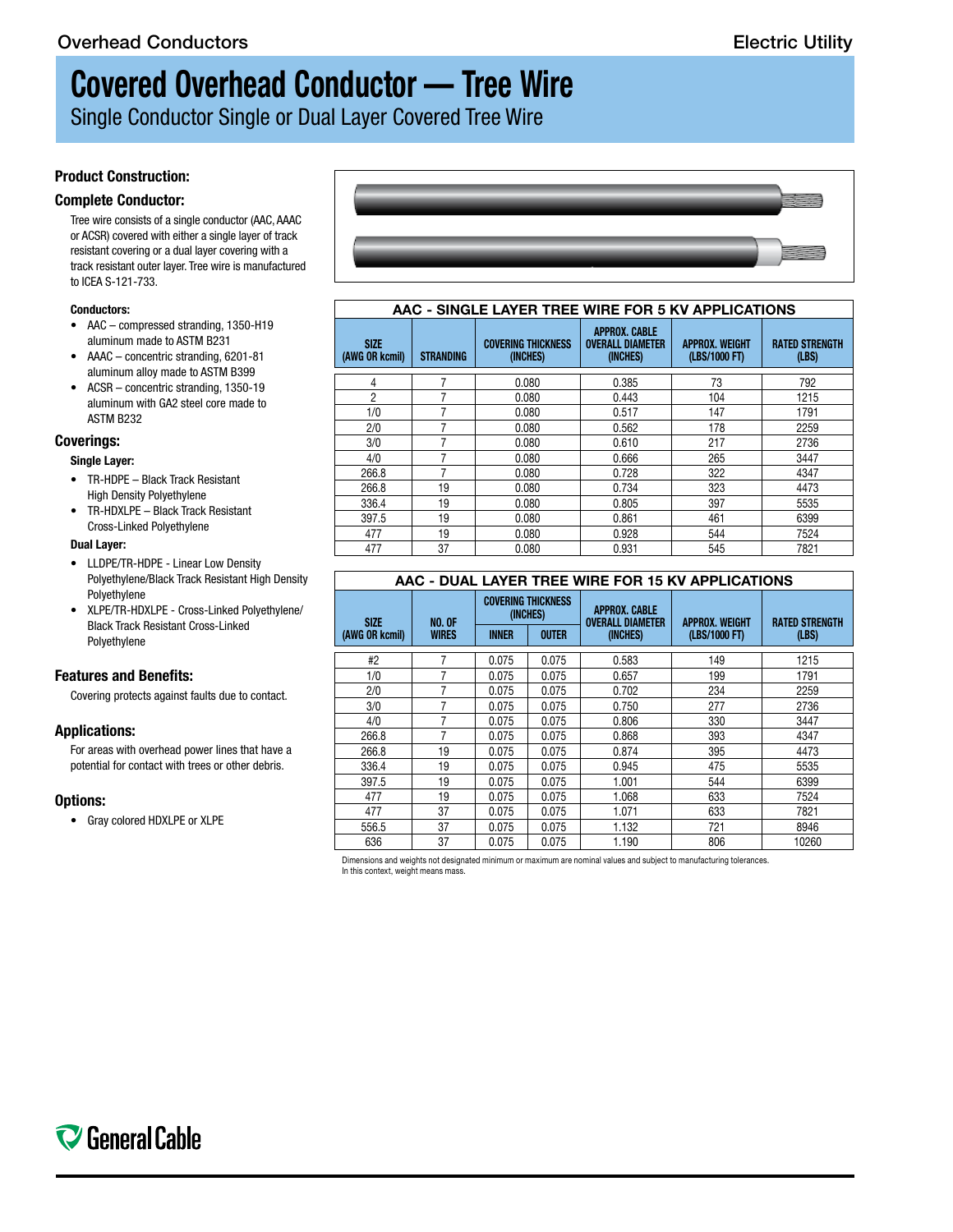# **Covered Overhead Conductor — Tree Wire**

Single Conductor Single or Dual Layer Covered Tree Wire

# **Product Construction:**

### **Complete Conductor:**

Tree wire consists of a single conductor (AAC, AAAC or ACSR) covered with either a single layer of track resistant covering or a dual layer covering with a track resistant outer layer. Tree wire is manufactured to ICEA S-121-733.

#### **Conductors:**

- AAC compressed stranding, 1350-H19 aluminum made to ASTM B231
- AAAC concentric stranding, 6201-81 aluminum alloy made to ASTM B399
- ACSR concentric stranding, 1350-19 aluminum with GA2 steel core made to ASTM B232

### **Coverings:**

#### **Single Layer:**

- TR-HDPE Black Track Resistant High Density Polyethylene
- TR-HDXLPE Black Track Resistant Cross-Linked Polyethylene

#### **Dual Layer:**

- LLDPE/TR-HDPE Linear Low Density Polyethylene/Black Track Resistant High Density Polyethylene
- XLPE/TR-HDXLPE Cross-Linked Polyethylene/ Black Track Resistant Cross-Linked Polyethylene

# **Features and Benefits:**

Covering protects against faults due to contact.

# **Applications:**

For areas with overhead power lines that have a potential for contact with trees or other debris.

### **Options:**

• Gray colored HDXLPE or XLPE



#### **AAC - SINGLE LAYER TREE WIRE FOR 5 KV APPLICATIONS**

| <b>SIZE</b><br>(AWG OR kcmil) | <b>STRANDING</b> | <b>COVERING THICKNESS</b><br>(INCHES) | <b>APPROX. CABLE</b><br><b>OVERALL DIAMETER</b><br>(INCHES) | <b>APPROX. WEIGHT</b><br>(LBS/1000 FT) | <b>RATED STRENGTH</b><br>(LBS) |  |  |  |
|-------------------------------|------------------|---------------------------------------|-------------------------------------------------------------|----------------------------------------|--------------------------------|--|--|--|
|                               |                  |                                       |                                                             |                                        |                                |  |  |  |
| 4                             | 7                | 0.080                                 | 0.385                                                       | 73                                     | 792                            |  |  |  |
| $\overline{2}$                |                  | 0.080                                 | 0.443                                                       | 104                                    | 1215                           |  |  |  |
| 1/0                           | 7                | 0.080                                 | 0.517                                                       | 147                                    | 1791                           |  |  |  |
| 2/0                           |                  | 0.080                                 | 0.562                                                       | 178                                    | 2259                           |  |  |  |
| 3/0                           |                  | 0.080                                 | 0.610                                                       | 217                                    | 2736                           |  |  |  |
| 4/0                           |                  | 0.080                                 | 0.666                                                       | 265                                    | 3447                           |  |  |  |
| 266.8                         | 7                | 0.080                                 | 0.728                                                       | 322                                    | 4347                           |  |  |  |
| 266.8                         | 19               | 0.080                                 | 0.734                                                       | 323                                    | 4473                           |  |  |  |
| 336.4                         | 19               | 0.080                                 | 0.805                                                       | 397                                    | 5535                           |  |  |  |
| 397.5                         | 19               | 0.080                                 | 0.861                                                       | 461                                    | 6399                           |  |  |  |
| 477                           | 19               | 0.080                                 | 0.928                                                       | 544                                    | 7524                           |  |  |  |
| 477                           | 37               | 0.080                                 | 0.931                                                       | 545                                    | 7821                           |  |  |  |

# **AAC - DUAL LAYER TREE WIRE FOR 15 KV APPLICATIONS**

| <b>SIZE</b>    | <b>NO. OF</b><br><b>WIRES</b> | <b>COVERING THICKNESS</b><br>(INCHES) |              | <b>APPROX. CABLE</b><br><b>OVERALL DIAMETER</b> | <b>APPROX. WEIGHT</b> | <b>RATED STRENGTH</b> |
|----------------|-------------------------------|---------------------------------------|--------------|-------------------------------------------------|-----------------------|-----------------------|
| (AWG OR kcmil) |                               | <b>INNER</b>                          | <b>OUTER</b> | (INCHES)                                        | (LBS/1000 FT)         | (LBS)                 |
| #2             | 7                             | 0.075                                 | 0.075        | 0.583                                           | 149                   | 1215                  |
| 1/0            | 7                             | 0.075                                 | 0.075        | 0.657                                           | 199                   | 1791                  |
| 2/0            | 7                             | 0.075                                 | 0.075        | 0.702                                           | 234                   | 2259                  |
| 3/0            | 7                             | 0.075                                 | 0.075        | 0.750                                           | 277                   | 2736                  |
| 4/0            | 7                             | 0.075                                 | 0.075        | 0.806                                           | 330                   | 3447                  |
| 266.8          | 7                             | 0.075                                 | 0.075        | 0.868                                           | 393                   | 4347                  |
| 266.8          | 19                            | 0.075                                 | 0.075        | 0.874                                           | 395                   | 4473                  |
| 336.4          | 19                            | 0.075                                 | 0.075        | 0.945                                           | 475                   | 5535                  |
| 397.5          | 19                            | 0.075                                 | 0.075        | 1.001                                           | 544                   | 6399                  |
| 477            | 19                            | 0.075                                 | 0.075        | 1.068                                           | 633                   | 7524                  |
| 477            | 37                            | 0.075                                 | 0.075        | 1.071                                           | 633                   | 7821                  |
| 556.5          | 37                            | 0.075                                 | 0.075        | 1.132                                           | 721                   | 8946                  |
| 636            | 37                            | 0.075                                 | 0.075        | 1.190                                           | 806                   | 10260                 |

Dimensions and weights not designated minimum or maximum are nominal values and subject to manufacturing tolerances. In this context, weight means mass.



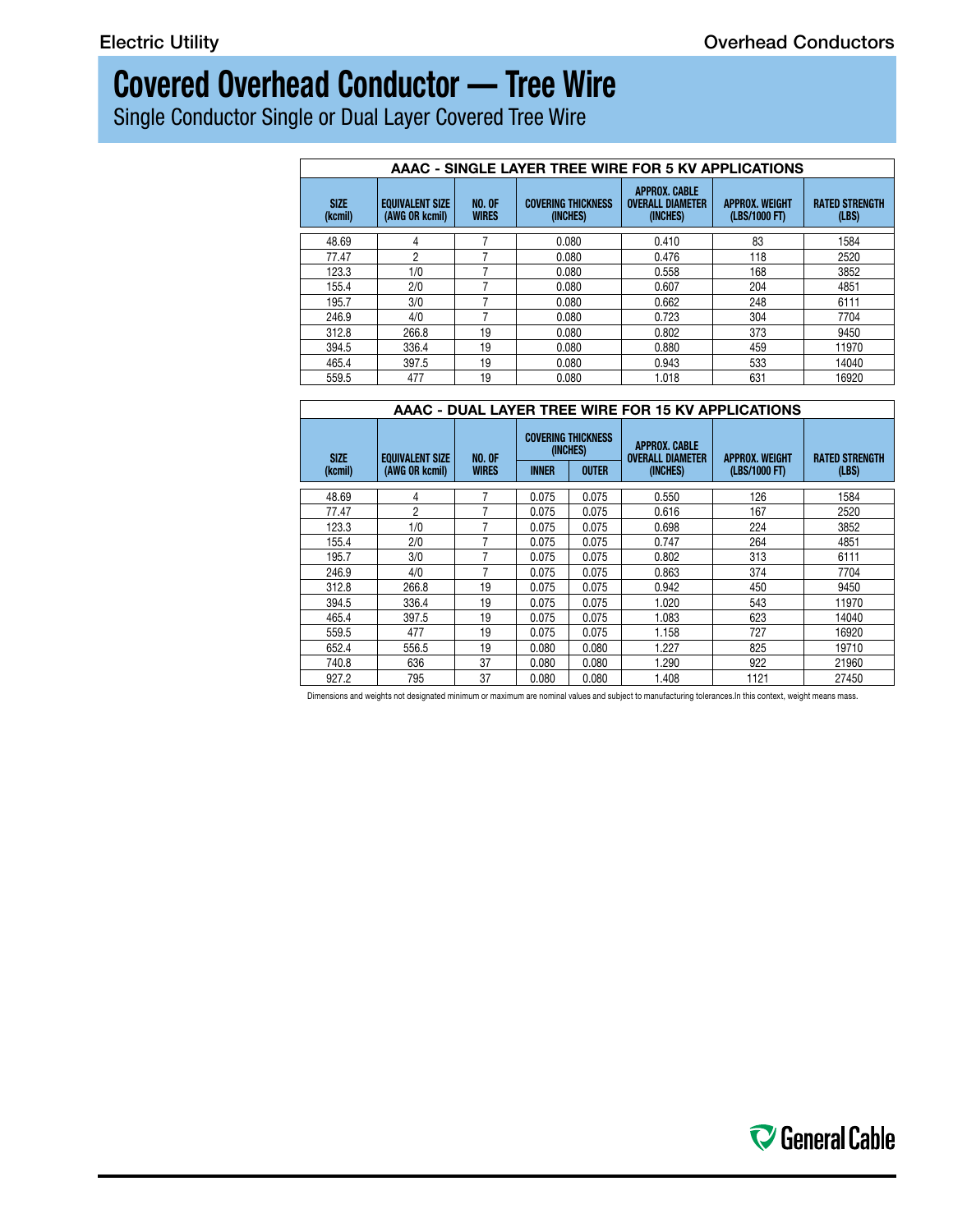# **Covered Overhead Conductor — Tree Wire**

Single Conductor Single or Dual Layer Covered Tree Wire

| AAAC - SINGLE LAYER TREE WIRE FOR 5 KV APPLICATIONS |                                          |                               |                                       |                                                             |                                        |                                |  |  |  |
|-----------------------------------------------------|------------------------------------------|-------------------------------|---------------------------------------|-------------------------------------------------------------|----------------------------------------|--------------------------------|--|--|--|
| <b>SIZE</b><br>(kcmil)                              | <b>EQUIVALENT SIZE</b><br>(AWG OR kcmil) | <b>NO. OF</b><br><b>WIRES</b> | <b>COVERING THICKNESS</b><br>(INCHES) | <b>APPROX. CABLE</b><br><b>OVERALL DIAMETER</b><br>(INCHES) | <b>APPROX. WEIGHT</b><br>(LBS/1000 FT) | <b>RATED STRENGTH</b><br>(LBS) |  |  |  |
| 48.69                                               | 4                                        |                               | 0.080                                 | 0.410                                                       | 83                                     | 1584                           |  |  |  |
| 77.47                                               | 2                                        |                               | 0.080                                 | 0.476                                                       | 118                                    | 2520                           |  |  |  |
| 123.3                                               | 1/0                                      |                               | 0.080                                 | 0.558                                                       | 168                                    | 3852                           |  |  |  |
| 155.4                                               | 2/0                                      |                               | 0.080                                 | 0.607                                                       | 204                                    | 4851                           |  |  |  |
| 195.7                                               | 3/0                                      |                               | 0.080                                 | 0.662                                                       | 248                                    | 6111                           |  |  |  |
| 246.9                                               | 4/0                                      |                               | 0.080                                 | 0.723                                                       | 304                                    | 7704                           |  |  |  |
| 312.8                                               | 266.8                                    | 19                            | 0.080                                 | 0.802                                                       | 373                                    | 9450                           |  |  |  |
| 394.5                                               | 336.4                                    | 19                            | 0.080                                 | 0.880                                                       | 459                                    | 11970                          |  |  |  |
| 465.4                                               | 397.5                                    | 19                            | 0.080                                 | 0.943                                                       | 533                                    | 14040                          |  |  |  |
| 559.5                                               | 477                                      | 19                            | 0.080                                 | 1.018                                                       | 631                                    | 16920                          |  |  |  |

| AAAC - DUAL LAYER TREE WIRE FOR 15 KV APPLICATIONS |                                          |                               |              |                                                       |                                                             |                                        |                                |  |  |
|----------------------------------------------------|------------------------------------------|-------------------------------|--------------|-------------------------------------------------------|-------------------------------------------------------------|----------------------------------------|--------------------------------|--|--|
| <b>SIZE</b><br>(kcmil)                             | <b>EQUIVALENT SIZE</b><br>(AWG OR kcmil) | <b>NO. OF</b><br><b>WIRES</b> | <b>INNER</b> | <b>COVERING THICKNESS</b><br>(INCHES)<br><b>OUTER</b> | <b>APPROX. CABLE</b><br><b>OVERALL DIAMETER</b><br>(INCHES) | <b>APPROX. WEIGHT</b><br>(LBS/1000 FT) | <b>RATED STRENGTH</b><br>(LBS) |  |  |
| 48.69                                              | 4                                        |                               | 0.075        | 0.075                                                 | 0.550                                                       | 126                                    | 1584                           |  |  |
| 77.47                                              | 2                                        |                               | 0.075        | 0.075                                                 | 0.616                                                       | 167                                    | 2520                           |  |  |
| 123.3                                              | 1/0                                      |                               | 0.075        | 0.075                                                 | 0.698                                                       | 224                                    | 3852                           |  |  |
| 155.4                                              | 2/0                                      |                               | 0.075        | 0.075                                                 | 0.747                                                       | 264                                    | 4851                           |  |  |
| 195.7                                              | 3/0                                      |                               | 0.075        | 0.075                                                 | 0.802                                                       | 313                                    | 6111                           |  |  |
| 246.9                                              | 4/0                                      |                               | 0.075        | 0.075                                                 | 0.863                                                       | 374                                    | 7704                           |  |  |
| 312.8                                              | 266.8                                    | 19                            | 0.075        | 0.075                                                 | 0.942                                                       | 450                                    | 9450                           |  |  |
| 394.5                                              | 336.4                                    | 19                            | 0.075        | 0.075                                                 | 1.020                                                       | 543                                    | 11970                          |  |  |
| 465.4                                              | 397.5                                    | 19                            | 0.075        | 0.075                                                 | 1.083                                                       | 623                                    | 14040                          |  |  |
| 559.5                                              | 477                                      | 19                            | 0.075        | 0.075                                                 | 1.158                                                       | 727                                    | 16920                          |  |  |
| 652.4                                              | 556.5                                    | 19                            | 0.080        | 0.080                                                 | 1.227                                                       | 825                                    | 19710                          |  |  |
| 740.8                                              | 636                                      | 37                            | 0.080        | 0.080                                                 | 1.290                                                       | 922                                    | 21960                          |  |  |
| 927.2                                              | 795                                      | 37                            | 0.080        | 0.080                                                 | 1.408                                                       | 1121                                   | 27450                          |  |  |

Dimensions and weights not designated minimum or maximum are nominal values and subject to manufacturing tolerances.In this context, weight means mass.